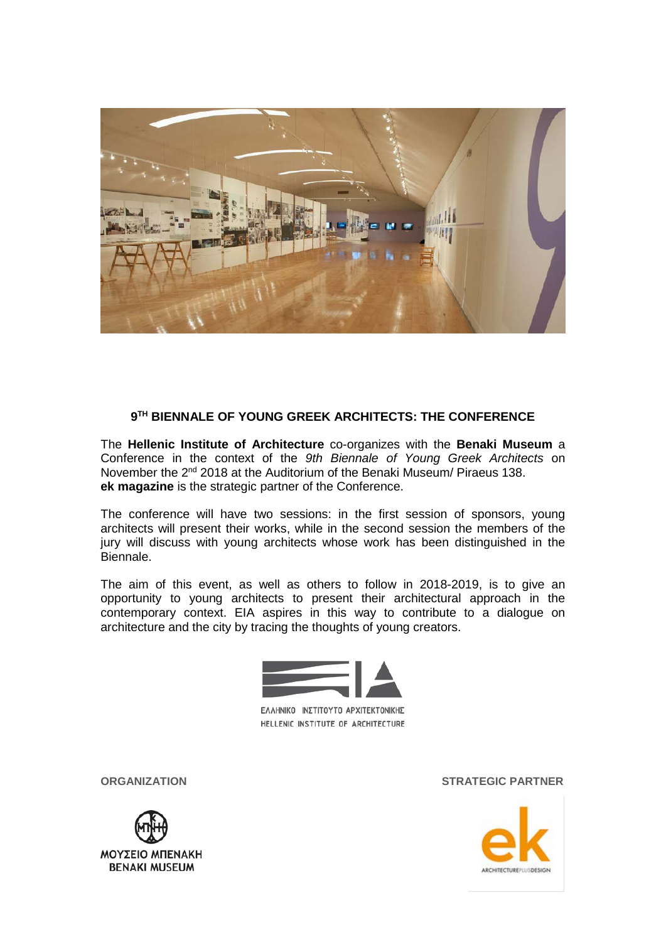

### **9TH BIENNALE OF YOUNG GREEK ARCHITECTS: THE CONFERENCE**

The **Hellenic Institute of Architecture** co-organizes with the **Benaki Museum** a Conference in the context of the *9th Biennale of Young Greek Architects* on November the 2<sup>nd</sup> 2018 at the Auditorium of the Benaki Museum/ Piraeus 138. **ek magazine** is the strategic partner of the Conference.

The conference will have two sessions: in the first session of sponsors, young architects will present their works, while in the second session the members of the jury will discuss with young architects whose work has been distinguished in the Biennale.

The aim of this event, as well as others to follow in 2018-2019, is to give an opportunity to young architects to present their architectural approach in the contemporary context. EIA aspires in this way to contribute to a dialogue on architecture and the city by tracing the thoughts of young creators.



ΕΛΛΗΝΙΚΟ ΙΝΣΤΙΤΟΥΤΟ ΑΡΧΙΤΕΚΤΟΝΙΚΗΣ HELLENIC INSTITUTE OF ARCHITECTURE



**ORGANIZATION STRATEGIC PARTNER**

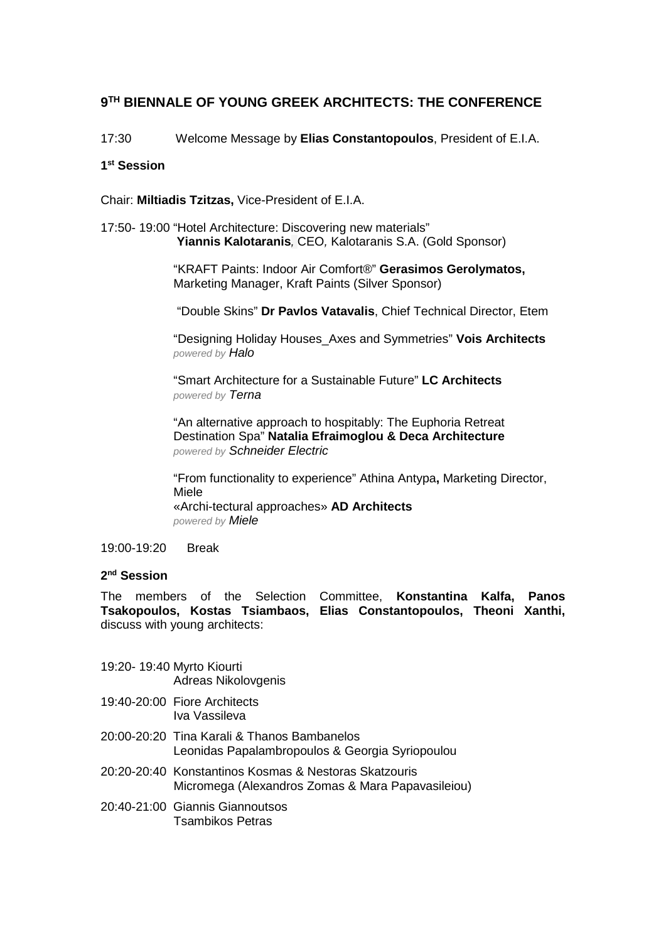# **9TH BIENNALE OF YOUNG GREEK ARCHITECTS: THE CONFERENCE**

17:30 Welcome Message by **Elias Constantopoulos**, President of E.I.A.

## **1st Session**

Chair: **Miltiadis Tzitzas,** Vice-President of E.I.A.

#### 17:50- 19:00 "Hotel Architecture: Discovering new materials" **Yiannis Kalotaranis***,* CEO*,* Kalotaranis S.A. (Gold Sponsor)

"KRAFT Paints: Indoor Air Comfort®" **Gerasimos Gerolymatos,**  Marketing Manager, Kraft Paints (Silver Sponsor)

"Double Skins" **Dr Pavlos Vatavalis**, Chief Technical Director, Etem

"Designing Holiday Houses\_Axes and Symmetries" **Vois Architects** *powered by Halo*

"Smart Architecture for a Sustainable Future" **LC Architects** *powered by Terna*

"An alternative approach to hospitably: The Euphoria Retreat Destination Spa" **Natalia Efraimoglou & Deca Architecture** *powered by Schneider Electric*

"From functionality to experience" Athina Antypa**,** Marketing Director, Miele «Archi-tectural approaches» **AD Architects** *powered by Miele*

## 19:00-19:20 Break

## **2nd Session**

The members of the Selection Committee, **Konstantina Kalfa, Panos Tsakopoulos, Kostas Tsiambaos, Elias Constantopoulos, Theoni Xanthi,**  discuss with young architects:

- 19:20- 19:40 Myrto Kiourti Adreas Nikolovgenis
- 19:40-20:00 Fiore Architects Iva Vassileva
- 20:00-20:20 Tina Karali & Thanos Bambanelos Leonidas Papalambropoulos & Georgia Syriopoulou
- 20:20-20:40 Konstantinos Kosmas & Nestoras Skatzouris Micromega (Alexandros Zomas & Mara Papavasileiou)
- 20:40-21:00 Giannis Giannoutsos Tsambikos Petras